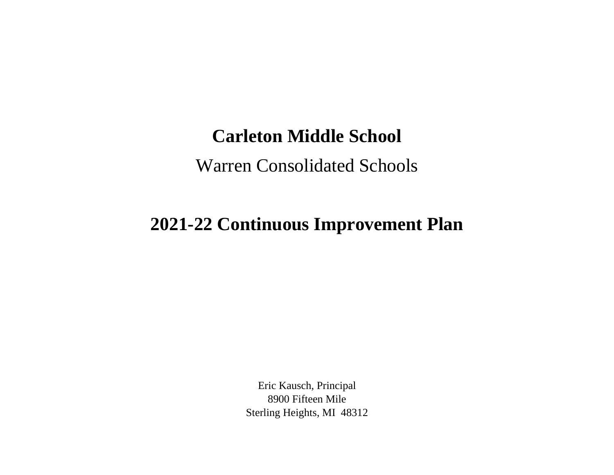## **Carleton Middle School**

## Warren Consolidated Schools

## **2021-22 Continuous Improvement Plan**

Eric Kausch, Principal 8900 Fifteen Mile Sterling Heights, MI 48312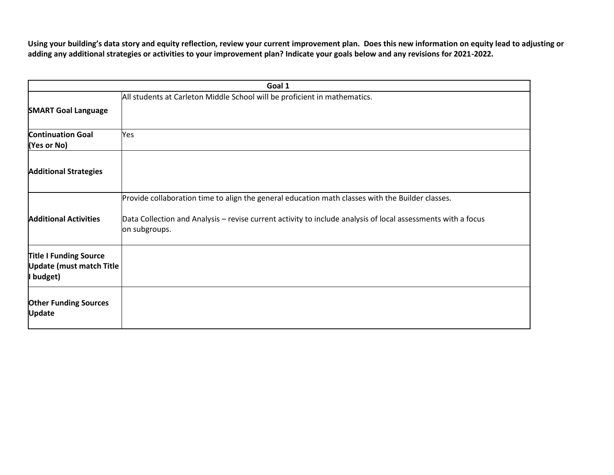**Using your building's data story and equity reflection, review your current improvement plan. Does this new information on equity lead to adjusting or adding any additional strategies or activities to your improvement plan? Indicate your goals below and any revisions for 2021-2022.**

| Goal 1                                                                        |                                                                                                                                                                                                                                   |  |
|-------------------------------------------------------------------------------|-----------------------------------------------------------------------------------------------------------------------------------------------------------------------------------------------------------------------------------|--|
| <b>SMART Goal Language</b>                                                    | All students at Carleton Middle School will be proficient in mathematics.                                                                                                                                                         |  |
| <b>Continuation Goal</b><br>(Yes or No)                                       | Yes                                                                                                                                                                                                                               |  |
| <b>Additional Strategies</b>                                                  |                                                                                                                                                                                                                                   |  |
| <b>Additional Activities</b>                                                  | Provide collaboration time to align the general education math classes with the Builder classes.<br>Data Collection and Analysis – revise current activity to include analysis of local assessments with a focus<br>on subgroups. |  |
| <b>Title I Funding Source</b><br><b>Update (must match Title</b><br>I budget) |                                                                                                                                                                                                                                   |  |
| <b>Other Funding Sources</b><br><b>Update</b>                                 |                                                                                                                                                                                                                                   |  |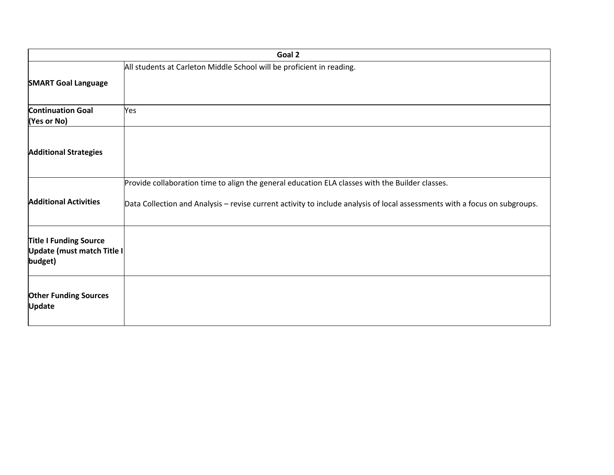| Goal 2                                                                 |                                                                                                                                                                                                                               |  |
|------------------------------------------------------------------------|-------------------------------------------------------------------------------------------------------------------------------------------------------------------------------------------------------------------------------|--|
| <b>SMART Goal Language</b>                                             | All students at Carleton Middle School will be proficient in reading.                                                                                                                                                         |  |
| <b>Continuation Goal</b><br>(Yes or No)                                | Yes                                                                                                                                                                                                                           |  |
| <b>Additional Strategies</b>                                           |                                                                                                                                                                                                                               |  |
| <b>Additional Activities</b>                                           | Provide collaboration time to align the general education ELA classes with the Builder classes.<br>Data Collection and Analysis - revise current activity to include analysis of local assessments with a focus on subgroups. |  |
| <b>Title I Funding Source</b><br>Update (must match Title I<br>budget) |                                                                                                                                                                                                                               |  |
| <b>Other Funding Sources</b><br><b>Update</b>                          |                                                                                                                                                                                                                               |  |